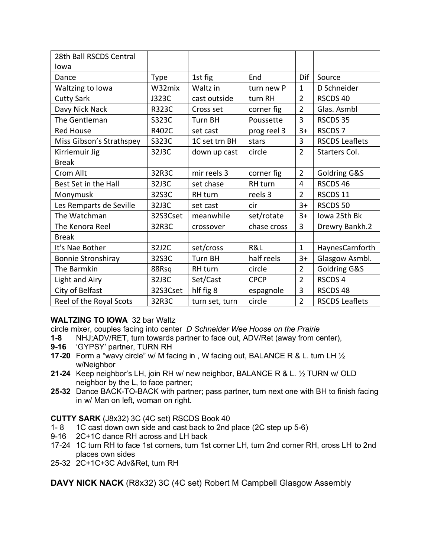| 28th Ball RSCDS Central   |              |                |             |                |                       |
|---------------------------|--------------|----------------|-------------|----------------|-----------------------|
| Iowa                      |              |                |             |                |                       |
| Dance                     | <b>Type</b>  | 1st fig        | End         | Dif            | Source                |
| Waltzing to lowa          | W32mix       | Waltz in       | turn new P  | $\mathbf{1}$   | D Schneider           |
| <b>Cutty Sark</b>         | J323C        | cast outside   | turn RH     | $\overline{2}$ | RSCDS 40              |
| Davy Nick Nack            | <b>R323C</b> | Cross set      | corner fig  | $\overline{2}$ | Glas. Asmbl           |
| The Gentleman             | S323C        | <b>Turn BH</b> | Poussette   | 3              | RSCDS 35              |
| <b>Red House</b>          | R402C        | set cast       | prog reel 3 | $3+$           | RSCDS <sub>7</sub>    |
| Miss Gibson's Strathspey  | S323C        | 1C set trn BH  | stars       | 3              | <b>RSCDS Leaflets</b> |
| Kirriemuir Jig            | 32J3C        | down up cast   | circle      | $\overline{2}$ | Starters Col.         |
| <b>Break</b>              |              |                |             |                |                       |
| Crom Allt                 | 32R3C        | mir reels 3    | corner fig  | $\overline{2}$ | Goldring G&S          |
| Best Set in the Hall      | 32J3C        | set chase      | RH turn     | 4              | RSCDS 46              |
| Monymusk                  | 32S3C        | RH turn        | reels 3     | $\overline{2}$ | RSCDS 11              |
| Les Remparts de Seville   | 32J3C        | set cast       | cir         | $3+$           | RSCDS 50              |
| The Watchman              | 32S3Cset     | meanwhile      | set/rotate  | $3+$           | Iowa 25th Bk          |
| The Kenora Reel           | 32R3C        | crossover      | chase cross | 3              | Drewry Bankh.2        |
| <b>Break</b>              |              |                |             |                |                       |
| It's Nae Bother           | 32J2C        | set/cross      | R&L         | $\mathbf{1}$   | HaynesCarnforth       |
| <b>Bonnie Stronshiray</b> | 32S3C        | <b>Turn BH</b> | half reels  | $3+$           | Glasgow Asmbl.        |
| The Barmkin               | 88Rsq        | RH turn        | circle      | $\overline{2}$ | Goldring G&S          |
| Light and Airy            | 32J3C        | Set/Cast       | <b>CPCP</b> | $\overline{2}$ | RSCDS 4               |
| City of Belfast           | 32S3Cset     | hlf fig 8      | espagnole   | 3              | RSCDS 48              |
| Reel of the Royal Scots   | 32R3C        | turn set, turn | circle      | $\overline{2}$ | <b>RSCDS Leaflets</b> |

### **WALTZING TO IOWA** 32 bar Waltz

circle mixer, couples facing into center *D Schneider Wee Hoose on the Prairie*

- **1-8** NHJ;ADV/RET, turn towards partner to face out, ADV/Ret (away from center),
- **9-16** 'GYPSY' partner, TURN RH
- **17-20** Form a "wavy circle" w/ M facing in , W facing out, BALANCE R & L. turn LH ½ w/Neighbor
- **21-24** Keep neighbor's LH, join RH w/ new neighbor, BALANCE R & L. ½ TURN w/ OLD neighbor by the L, to face partner;
- **25-32** Dance BACK-TO-BACK with partner; pass partner, turn next one with BH to finish facing in w/ Man on left, woman on right.

#### **CUTTY SARK** (J8x32) 3C (4C set) RSCDS Book 40

- 1- 8 1C cast down own side and cast back to 2nd place (2C step up 5-6)
- 9-16 2C+1C dance RH across and LH back
- 17-24 1C turn RH to face 1st corners, turn 1st corner LH, turn 2nd corner RH, cross LH to 2nd places own sides
- 25-32 2C+1C+3C Adv&Ret, turn RH

**DAVY NICK NACK** (R8x32) 3C (4C set) Robert M Campbell Glasgow Assembly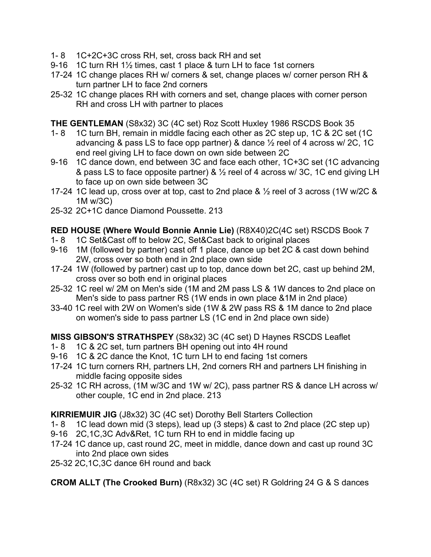- 1- 8 1C+2C+3C cross RH, set, cross back RH and set
- 9-16 1C turn RH 1½ times, cast 1 place & turn LH to face 1st corners
- 17-24 1C change places RH w/ corners & set, change places w/ corner person RH & turn partner LH to face 2nd corners
- 25-32 1C change places RH with corners and set, change places with corner person RH and cross LH with partner to places

**THE GENTLEMAN** (S8x32) 3C (4C set) Roz Scott Huxley 1986 RSCDS Book 35

- 1- 8 1C turn BH, remain in middle facing each other as 2C step up, 1C & 2C set (1C advancing & pass LS to face opp partner) & dance ½ reel of 4 across w/ 2C, 1C end reel giving LH to face down on own side between 2C
- 9-16 1C dance down, end between 3C and face each other, 1C+3C set (1C advancing & pass LS to face opposite partner) &  $\frac{1}{2}$  reel of 4 across w/ 3C, 1C end giving LH to face up on own side between 3C
- 17-24 1C lead up, cross over at top, cast to 2nd place & ½ reel of 3 across (1W w/2C & 1M w/3C)
- 25-32 2C+1C dance Diamond Poussette. 213

## **RED HOUSE (Where Would Bonnie Annie Lie)** (R8X40)2C(4C set) RSCDS Book 7

- 1- 8 1C Set&Cast off to below 2C, Set&Cast back to original places
- 9-16 1M (followed by partner) cast off 1 place, dance up bet 2C & cast down behind 2W, cross over so both end in 2nd place own side
- 17-24 1W (followed by partner) cast up to top, dance down bet 2C, cast up behind 2M, cross over so both end in original places
- 25-32 1C reel w/ 2M on Men's side (1M and 2M pass LS & 1W dances to 2nd place on Men's side to pass partner RS (1W ends in own place &1M in 2nd place)
- 33-40 1C reel with 2W on Women's side (1W & 2W pass RS & 1M dance to 2nd place on women's side to pass partner LS (1C end in 2nd place own side)

**MISS GIBSON'S STRATHSPEY** (S8x32) 3C (4C set) D Haynes RSCDS Leaflet

- 1- 8 1C & 2C set, turn partners BH opening out into 4H round
- 9-16 1C & 2C dance the Knot, 1C turn LH to end facing 1st corners
- 17-24 1C turn corners RH, partners LH, 2nd corners RH and partners LH finishing in middle facing opposite sides
- 25-32 1C RH across, (1M w/3C and 1W w/ 2C), pass partner RS & dance LH across w/ other couple, 1C end in 2nd place. 213

### **KIRRIEMUIR JIG** (J8x32) 3C (4C set) Dorothy Bell Starters Collection

- 1- 8 1C lead down mid (3 steps), lead up (3 steps) & cast to 2nd place (2C step up)
- 9-16 2C,1C,3C Adv&Ret, 1C turn RH to end in middle facing up
- 17-24 1C dance up, cast round 2C, meet in middle, dance down and cast up round 3C into 2nd place own sides
- 25-32 2C,1C,3C dance 6H round and back

**CROM ALLT (The Crooked Burn)** (R8x32) 3C (4C set) R Goldring 24 G & S dances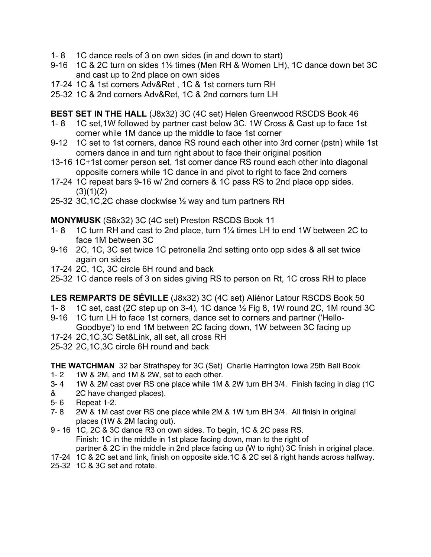- 1- 8 1C dance reels of 3 on own sides (in and down to start)
- 9-16 1C & 2C turn on sides 1½ times (Men RH & Women LH), 1C dance down bet 3C and cast up to 2nd place on own sides
- 17-24 1C & 1st corners Adv&Ret , 1C & 1st corners turn RH
- 25-32 1C & 2nd corners Adv&Ret, 1C & 2nd corners turn LH

**BEST SET IN THE HALL** (J8x32) 3C (4C set) Helen Greenwood RSCDS Book 46

- 1- 8 1C set,1W followed by partner cast below 3C. 1W Cross & Cast up to face 1st corner while 1M dance up the middle to face 1st corner
- 9-12 1C set to 1st corners, dance RS round each other into 3rd corner (pstn) while 1st corners dance in and turn right about to face their original position
- 13-16 1C+1st corner person set, 1st corner dance RS round each other into diagonal opposite corners while 1C dance in and pivot to right to face 2nd corners
- 17-24 1C repeat bars 9-16 w/ 2nd corners & 1C pass RS to 2nd place opp sides.  $(3)(1)(2)$
- 25-32 3C,1C,2C chase clockwise ½ way and turn partners RH

**MONYMUSK** (S8x32) 3C (4C set) Preston RSCDS Book 11

- 1- 8 1C turn RH and cast to 2nd place, turn 1¼ times LH to end 1W between 2C to face 1M between 3C
- 9-16 2C, 1C, 3C set twice 1C petronella 2nd setting onto opp sides & all set twice again on sides
- 17-24 2C, 1C, 3C circle 6H round and back
- 25-32 1C dance reels of 3 on sides giving RS to person on Rt, 1C cross RH to place

**LES REMPARTS DE SÉVILLE** (J8x32) 3C (4C set) Aliénor Latour RSCDS Book 50

- 1- 8 1C set, cast (2C step up on 3-4), 1C dance  $\frac{1}{2}$  Fig 8, 1W round 2C, 1M round 3C
- 9-16 1C turn LH to face 1st corners, dance set to corners and partner ('Hello-Goodbye') to end 1M between 2C facing down, 1W between 3C facing up
- 17-24 2C,1C,3C Set&Link, all set, all cross RH
- 25-32 2C,1C,3C circle 6H round and back

**THE WATCHMAN** 32 bar Strathspey for 3C (Set) Charlie Harrington Iowa 25th Ball Book

- 1- 2 1W & 2M, and 1M & 2W, set to each other.
- 3- 4 1W & 2M cast over RS one place while 1M & 2W turn BH 3/4. Finish facing in diag (1C
- & 2C have changed places).
- 5- 6 Repeat 1-2.
- 7- 8 2W & 1M cast over RS one place while 2M & 1W turn BH 3/4. All finish in original places (1W & 2M facing out).
- 9 16 1C, 2C & 3C dance R3 on own sides. To begin, 1C & 2C pass RS. Finish: 1C in the middle in 1st place facing down, man to the right of partner & 2C in the middle in 2nd place facing up (W to right) 3C finish in original place.
- 17-24 1C & 2C set and link, finish on opposite side.1C & 2C set & right hands across halfway.
- 25-32 1C & 3C set and rotate.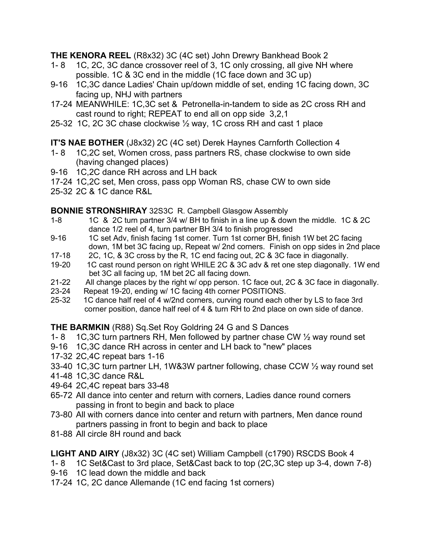**THE KENORA REEL** (R8x32) 3C (4C set) John Drewry Bankhead Book 2

- 1- 8 1C, 2C, 3C dance crossover reel of 3, 1C only crossing, all give NH where possible. 1C & 3C end in the middle (1C face down and 3C up)
- 9-16 1C,3C dance Ladies' Chain up/down middle of set, ending 1C facing down, 3C facing up, NHJ with partners
- 17-24 MEANWHILE: 1C,3C set & Petronella-in-tandem to side as 2C cross RH and cast round to right; REPEAT to end all on opp side 3,2,1
- 25-32 1C, 2C 3C chase clockwise ½ way, 1C cross RH and cast 1 place

# **IT'S NAE BOTHER** (J8x32) 2C (4C set) Derek Haynes Carnforth Collection 4

- 1- 8 1C,2C set, Women cross, pass partners RS, chase clockwise to own side (having changed places)
- 9-16 1C,2C dance RH across and LH back
- 17-24 1C,2C set, Men cross, pass opp Woman RS, chase CW to own side
- 25-32 2C & 1C dance R&L

## **BONNIE STRONSHIRAY** 32S3C R. Campbell Glasgow Assembly

- 1-8 1C & 2C turn partner 3/4 w/ BH to finish in a line up & down the middle. 1C & 2C dance 1/2 reel of 4, turn partner BH 3/4 to finish progressed
- 9-16 1C set Adv, finish facing 1st corner. Turn 1st corner BH, finish 1W bet 2C facing down, 1M bet 3C facing up, Repeat w/ 2nd corners. Finish on opp sides in 2nd place
- 17-18 2C, 1C, & 3C cross by the R, 1C end facing out, 2C & 3C face in diagonally.
- 19-20 1C cast round person on right WHILE 2C & 3C adv & ret one step diagonally. 1W end bet 3C all facing up, 1M bet 2C all facing down.
- 21-22 All change places by the right w/ opp person. 1C face out, 2C & 3C face in diagonally.
- 23-24 Repeat 19-20, ending w/ 1C facing 4th corner POSITIONS.
- 25-32 1C dance half reel of 4 w/2nd corners, curving round each other by LS to face 3rd corner position, dance half reel of 4 & turn RH to 2nd place on own side of dance.

# **THE BARMKIN** (R88) Sq.Set Roy Goldring 24 G and S Dances

- 1- 8 1C,3C turn partners RH, Men followed by partner chase CW ½ way round set
- 9-16 1C,3C dance RH across in center and LH back to "new" places
- 17-32 2C,4C repeat bars 1-16
- 33-40 1C,3C turn partner LH, 1W&3W partner following, chase CCW ½ way round set
- 41-48 1C,3C dance R&L
- 49-64 2C,4C repeat bars 33-48
- 65-72 All dance into center and return with corners, Ladies dance round corners passing in front to begin and back to place
- 73-80 All with corners dance into center and return with partners, Men dance round partners passing in front to begin and back to place
- 81-88 All circle 8H round and back

**LIGHT AND AIRY** (J8x32) 3C (4C set) William Campbell (c1790) RSCDS Book 4

- 1- 8 1C Set&Cast to 3rd place, Set&Cast back to top (2C,3C step up 3-4, down 7-8)
- 9-16 1C lead down the middle and back
- 17-24 1C, 2C dance Allemande (1C end facing 1st corners)